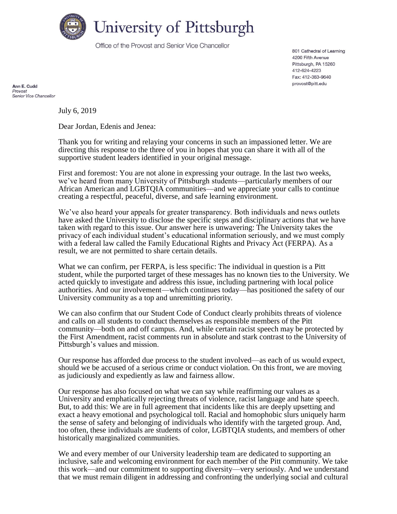

Office of the Provost and Senior Vice Chancellor

801 Cathedral of Learning 4200 Fifth Avenue Pittsburgh, PA 15260 412-624-4223 Fax: 412-383-9640 provost@pitt.edu

Ann E. Cudd Provost Senior Vice Chancellor

July 6, 2019

Dear Jordan, Edenis and Jenea:

Thank you for writing and relaying your concerns in such an impassioned letter. We are directing this response to the three of you in hopes that you can share it with all of the supportive student leaders identified in your original message.

First and foremost: You are not alone in expressing your outrage. In the last two weeks, we've heard from many University of Pittsburgh students—particularly members of our African American and LGBTQIA communities—and we appreciate your calls to continue creating a respectful, peaceful, diverse, and safe learning environment.

We've also heard your appeals for greater transparency. Both individuals and news outlets have asked the University to disclose the specific steps and disciplinary actions that we have taken with regard to this issue. Our answer here is unwavering: The University takes the privacy of each individual student's educational information seriously, and we must comply with a federal law called the Family Educational Rights and Privacy Act (FERPA). As a result, we are not permitted to share certain details.

What we can confirm, per FERPA, is less specific: The individual in question is a Pitt student, while the purported target of these messages has no known ties to the University. We acted quickly to investigate and address this issue, including partnering with local police authorities. And our involvement—which continues today—has positioned the safety of our University community as a top and unremitting priority.

We can also confirm that our Student Code of Conduct clearly prohibits threats of violence and calls on all students to conduct themselves as responsible members of the Pitt community—both on and off campus. And, while certain racist speech may be protected by the First Amendment, racist comments run in absolute and stark contrast to the University of Pittsburgh's values and mission.

Our response has afforded due process to the student involved—as each of us would expect, should we be accused of a serious crime or conduct violation. On this front, we are moving as judiciously and expediently as law and fairness allow.

Our response has also focused on what we can say while reaffirming our values as a University and emphatically rejecting threats of violence, racist language and hate speech. But, to add this: We are in full agreement that incidents like this are deeply upsetting and exact a heavy emotional and psychological toll. Racial and homophobic slurs uniquely harm the sense of safety and belonging of individuals who identify with the targeted group. And, too often, these individuals are students of color, LGBTQIA students, and members of other historically marginalized communities.

We and every member of our University leadership team are dedicated to supporting an inclusive, safe and welcoming environment for each member of the Pitt community. We take this work—and our commitment to supporting diversity—very seriously. And we understand that we must remain diligent in addressing and confronting the underlying social and cultural